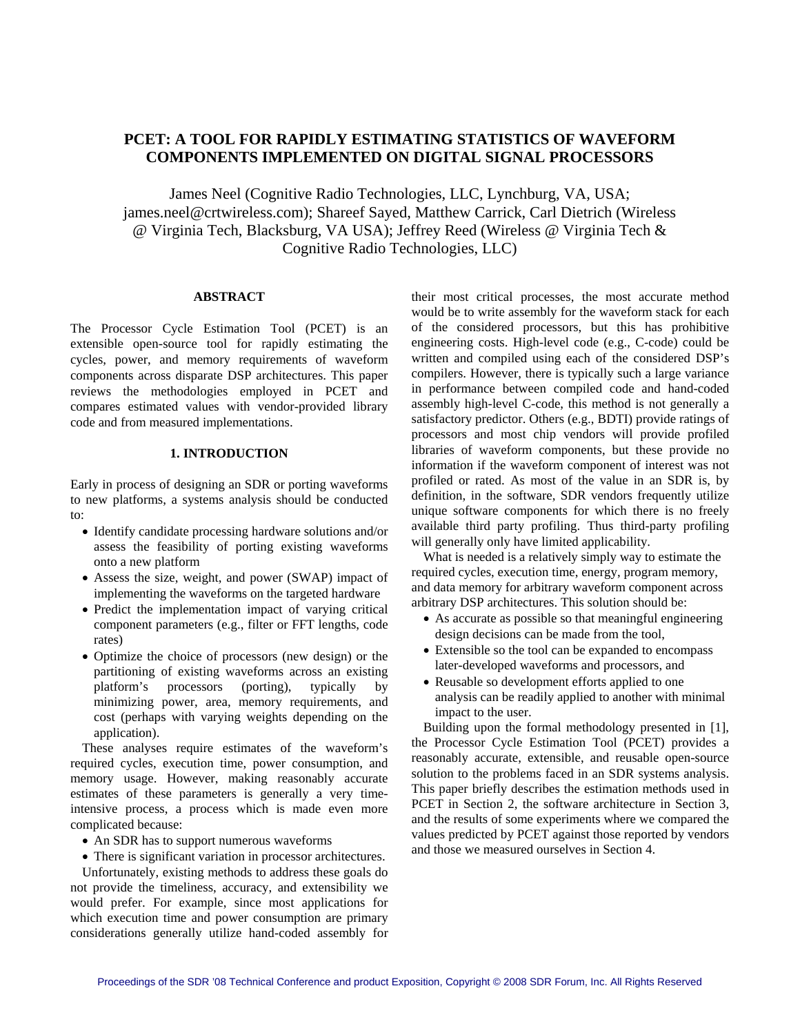# **PCET: A TOOL FOR RAPIDLY ESTIMATING STATISTICS OF WAVEFORM COMPONENTS IMPLEMENTED ON DIGITAL SIGNAL PROCESSORS**

James Neel (Cognitive Radio Technologies, LLC, Lynchburg, VA, USA; james.neel@crtwireless.com); Shareef Sayed, Matthew Carrick, Carl Dietrich (Wireless @ Virginia Tech, Blacksburg, VA USA); Jeffrey Reed (Wireless @ Virginia Tech & Cognitive Radio Technologies, LLC)

#### **ABSTRACT**

The Processor Cycle Estimation Tool (PCET) is an extensible open-source tool for rapidly estimating the cycles, power, and memory requirements of waveform components across disparate DSP architectures. This paper reviews the methodologies employed in PCET and compares estimated values with vendor-provided library code and from measured implementations.

# **1. INTRODUCTION**

Early in process of designing an SDR or porting waveforms to new platforms, a systems analysis should be conducted to:

- Identify candidate processing hardware solutions and/or assess the feasibility of porting existing waveforms onto a new platform
- Assess the size, weight, and power (SWAP) impact of implementing the waveforms on the targeted hardware
- Predict the implementation impact of varying critical component parameters (e.g., filter or FFT lengths, code rates)
- Optimize the choice of processors (new design) or the partitioning of existing waveforms across an existing platform's processors (porting), typically by minimizing power, area, memory requirements, and cost (perhaps with varying weights depending on the application).

These analyses require estimates of the waveform's required cycles, execution time, power consumption, and memory usage. However, making reasonably accurate estimates of these parameters is generally a very timeintensive process, a process which is made even more complicated because:

- An SDR has to support numerous waveforms
- There is significant variation in processor architectures.

Unfortunately, existing methods to address these goals do not provide the timeliness, accuracy, and extensibility we would prefer. For example, since most applications for which execution time and power consumption are primary considerations generally utilize hand-coded assembly for their most critical processes, the most accurate method would be to write assembly for the waveform stack for each of the considered processors, but this has prohibitive engineering costs. High-level code (e.g., C-code) could be written and compiled using each of the considered DSP's compilers. However, there is typically such a large variance in performance between compiled code and hand-coded assembly high-level C-code, this method is not generally a satisfactory predictor. Others (e.g., BDTI) provide ratings of processors and most chip vendors will provide profiled libraries of waveform components, but these provide no information if the waveform component of interest was not profiled or rated. As most of the value in an SDR is, by definition, in the software, SDR vendors frequently utilize unique software components for which there is no freely available third party profiling. Thus third-party profiling will generally only have limited applicability.

What is needed is a relatively simply way to estimate the required cycles, execution time, energy, program memory, and data memory for arbitrary waveform component across arbitrary DSP architectures. This solution should be:

- As accurate as possible so that meaningful engineering design decisions can be made from the tool,
- Extensible so the tool can be expanded to encompass later-developed waveforms and processors, and
- Reusable so development efforts applied to one analysis can be readily applied to another with minimal impact to the user.

Building upon the formal methodology presented in [1], the Processor Cycle Estimation Tool (PCET) provides a reasonably accurate, extensible, and reusable open-source solution to the problems faced in an SDR systems analysis. This paper briefly describes the estimation methods used in PCET in Section 2, the software architecture in Section 3, and the results of some experiments where we compared the values predicted by PCET against those reported by vendors and those we measured ourselves in Section 4.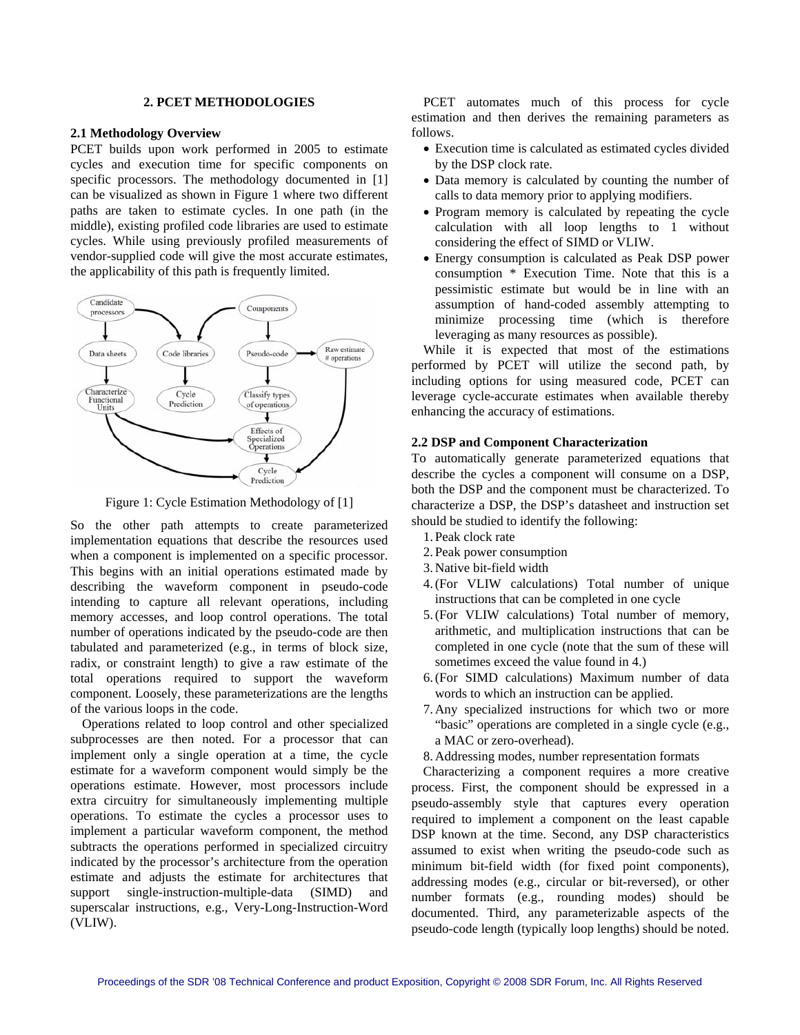## **2. PCET METHODOLOGIES**

#### **2.1 Methodology Overview**

PCET builds upon work performed in 2005 to estimate cycles and execution time for specific components on specific processors. The methodology documented in [1] can be visualized as shown in [Figure 1](#page-1-0) where two different paths are taken to estimate cycles. In one path (in the middle), existing profiled code libraries are used to estimate cycles. While using previously profiled measurements of vendor-supplied code will give the most accurate estimates, the applicability of this path is frequently limited.



Figure 1: Cycle Estimation Methodology of [1]

<span id="page-1-0"></span>So the other path attempts to create parameterized implementation equations that describe the resources used when a component is implemented on a specific processor. This begins with an initial operations estimated made by describing the waveform component in pseudo-code intending to capture all relevant operations, including memory accesses, and loop control operations. The total number of operations indicated by the pseudo-code are then tabulated and parameterized (e.g., in terms of block size, radix, or constraint length) to give a raw estimate of the total operations required to support the waveform component. Loosely, these parameterizations are the lengths of the various loops in the code.

Operations related to loop control and other specialized subprocesses are then noted. For a processor that can implement only a single operation at a time, the cycle estimate for a waveform component would simply be the operations estimate. However, most processors include extra circuitry for simultaneously implementing multiple operations. To estimate the cycles a processor uses to implement a particular waveform component, the method subtracts the operations performed in specialized circuitry indicated by the processor's architecture from the operation estimate and adjusts the estimate for architectures that support single-instruction-multiple-data (SIMD) and superscalar instructions, e.g., Very-Long-Instruction-Word (VLIW).

PCET automates much of this process for cycle estimation and then derives the remaining parameters as follows.

- Execution time is calculated as estimated cycles divided by the DSP clock rate.
- Data memory is calculated by counting the number of calls to data memory prior to applying modifiers.
- Program memory is calculated by repeating the cycle calculation with all loop lengths to 1 without considering the effect of SIMD or VLIW.
- Energy consumption is calculated as Peak DSP power consumption \* Execution Time. Note that this is a pessimistic estimate but would be in line with an assumption of hand-coded assembly attempting to minimize processing time (which is therefore leveraging as many resources as possible).

While it is expected that most of the estimations performed by PCET will utilize the second path, by including options for using measured code, PCET can leverage cycle-accurate estimates when available thereby enhancing the accuracy of estimations.

## **2.2 DSP and Component Characterization**

To automatically generate parameterized equations that describe the cycles a component will consume on a DSP, both the DSP and the component must be characterized. To characterize a DSP, the DSP's datasheet and instruction set should be studied to identify the following:

- 1. Peak clock rate
- 2. Peak power consumption
- 3. Native bit-field width
- 4.(For VLIW calculations) Total number of unique instructions that can be completed in one cycle
- 5.(For VLIW calculations) Total number of memory, arithmetic, and multiplication instructions that can be completed in one cycle (note that the sum of these will sometimes exceed the value found in 4.)
- 6.(For SIMD calculations) Maximum number of data words to which an instruction can be applied.
- 7. Any specialized instructions for which two or more "basic" operations are completed in a single cycle (e.g., a MAC or zero-overhead).
- 8. Addressing modes, number representation formats

 Characterizing a component requires a more creative process. First, the component should be expressed in a pseudo-assembly style that captures every operation required to implement a component on the least capable DSP known at the time. Second, any DSP characteristics assumed to exist when writing the pseudo-code such as minimum bit-field width (for fixed point components), addressing modes (e.g., circular or bit-reversed), or other number formats (e.g., rounding modes) should be documented. Third, any parameterizable aspects of the pseudo-code length (typically loop lengths) should be noted.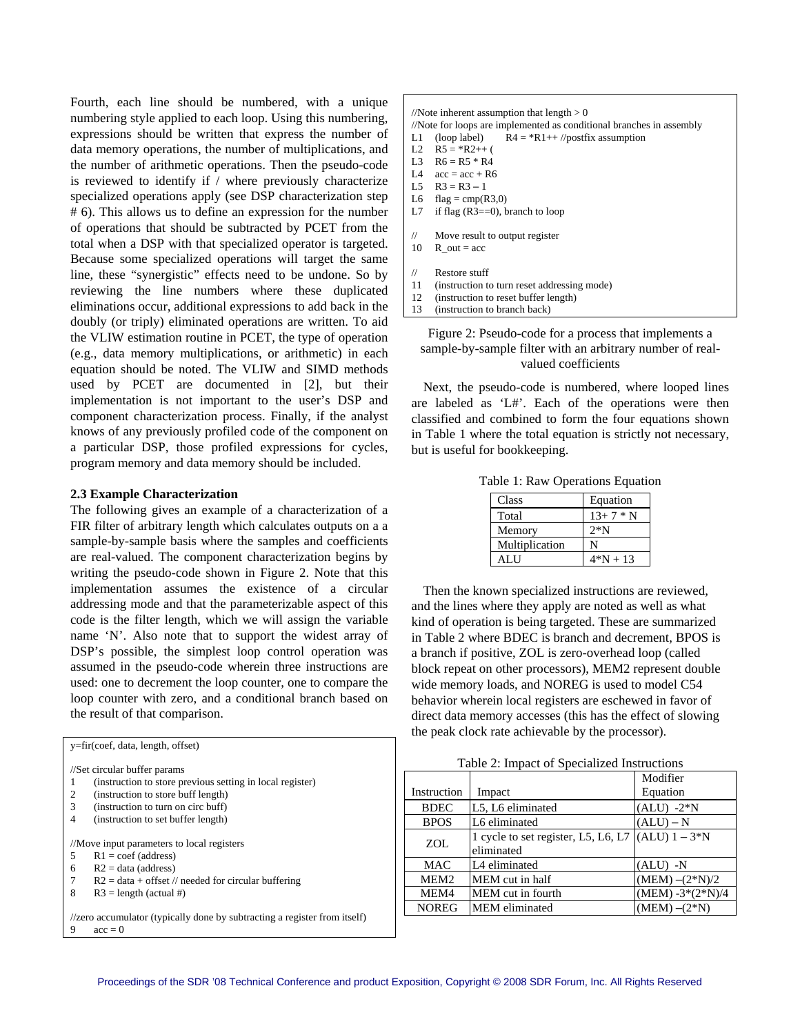Fourth, each line should be numbered, with a unique numbering style applied to each loop. Using this numbering, expressions should be written that express the number of data memory operations, the number of multiplications, and the number of arithmetic operations. Then the pseudo-code is reviewed to identify if  $/$  where previously characterize specialized operations apply (see DSP characterization step # 6). This allows us to define an expression for the number of operations that should be subtracted by PCET from the total when a DSP with that specialized operator is targeted. Because some specialized operations will target the same line, these "synergistic" effects need to be undone. So by reviewing the line numbers where these duplicated eliminations occur, additional expressions to add back in the doubly (or triply) eliminated operations are written. To aid the VLIW estimation routine in PCET, the type of operation (e.g., data memory multiplications, or arithmetic) in each equation should be noted. The VLIW and SIMD methods used by PCET are documented in [2], but their implementation is not important to the user's DSP and component characterization process. Finally, if the analyst knows of any previously profiled code of the component on a particular DSP, those profiled expressions for cycles, program memory and data memory should be included.

## <span id="page-2-1"></span><span id="page-2-0"></span>**2.3 Example Characterization**

The following gives an example of a characterization of a FIR filter of arbitrary length which calculates outputs on a a sample-by-sample basis where the samples and coefficients are real-valued. The component characterization begins by writing the pseudo-code shown in [Figure 2](#page-2-0). Note that this implementation assumes the existence of a circular addressing mode and that the parameterizable aspect of this code is the filter length, which we will assign the variable name 'N'. Also note that to support the widest array of DSP's possible, the simplest loop control operation was assumed in the pseudo-code wherein three instructions are used: one to decrement the loop counter, one to compare the loop counter with zero, and a conditional branch based on the result of that comparison.

<span id="page-2-2"></span>

| $y = fir(coef, data, length, offset)$                                     |  |  |  |  |  |  |
|---------------------------------------------------------------------------|--|--|--|--|--|--|
| //Set circular buffer params                                              |  |  |  |  |  |  |
| (instruction to store previous setting in local register)<br>1            |  |  |  |  |  |  |
| $\overline{2}$<br>(instruction to store buff length)                      |  |  |  |  |  |  |
| 3<br>(instruction to turn on circ buff)                                   |  |  |  |  |  |  |
| $\overline{4}$<br>(instruction to set buffer length)                      |  |  |  |  |  |  |
|                                                                           |  |  |  |  |  |  |
| //Move input parameters to local registers                                |  |  |  |  |  |  |
| 5<br>$R1 = \text{coef}$ (address)                                         |  |  |  |  |  |  |
| $R2 = data (address)$<br>6                                                |  |  |  |  |  |  |
| 7<br>$R2 = data + offset$ // needed for circular buffering                |  |  |  |  |  |  |
| 8<br>$R3 = length (actual #)$                                             |  |  |  |  |  |  |
|                                                                           |  |  |  |  |  |  |
| //zero accumulator (typically done by subtracting a register from itself) |  |  |  |  |  |  |
| 9<br>$acc = 0$                                                            |  |  |  |  |  |  |

| e  |                                                                      |                                                |  |  |  |  |  |
|----|----------------------------------------------------------------------|------------------------------------------------|--|--|--|--|--|
|    | //Note inherent assumption that length $> 0$                         |                                                |  |  |  |  |  |
| 5, | //Note for loops are implemented as conditional branches in assembly |                                                |  |  |  |  |  |
| f  | L1                                                                   | (loop label) $R4 = *R1++$ //postfix assumption |  |  |  |  |  |
| d  | L <sub>2</sub>                                                       | $R5 = *R2++$ (                                 |  |  |  |  |  |
| e  | L <sub>3</sub>                                                       | $R6 = R5 * R4$                                 |  |  |  |  |  |
|    | L4                                                                   | $acc = acc + R6$                               |  |  |  |  |  |
| e  |                                                                      | L5 $R3 = R3 - 1$                               |  |  |  |  |  |
| p  | L6                                                                   | flag = $cmp(R3,0)$                             |  |  |  |  |  |
| r  | L7                                                                   | if flag $(R3 == 0)$ , branch to loop           |  |  |  |  |  |
| e  |                                                                      |                                                |  |  |  |  |  |
|    | 11                                                                   | Move result to output register                 |  |  |  |  |  |
| l. | 10                                                                   | $R$ out = acc                                  |  |  |  |  |  |
| e  |                                                                      |                                                |  |  |  |  |  |
| y  | 11                                                                   | Restore stuff                                  |  |  |  |  |  |
| d  | 11                                                                   | (instruction to turn reset addressing mode)    |  |  |  |  |  |
|    | 12                                                                   | (instruction to reset buffer length)           |  |  |  |  |  |
|    |                                                                      |                                                |  |  |  |  |  |

13 (instruction to branch back)

Figure 2: Pseudo-code for a process that implements a sample-by-sample filter with an arbitrary number of realvalued coefficients

 Next, the pseudo-code is numbered, where looped lines are labeled as 'L#'. Each of the operations were then classified and combined to form the four equations shown in [Table 1](#page-2-1) where the total equation is strictly not necessary, but is useful for bookkeeping.

Table 1: Raw Operations Equation

| Class          | Equation   |
|----------------|------------|
| Total          | $13+7*N$   |
| Memory         | $2*N$      |
| Multiplication |            |
| AL I I         | $4*N + 13$ |

 Then the known specialized instructions are reviewed, and the lines where they apply are noted as well as what kind of operation is being targeted. These are summarized in [Table 2](#page-2-2) where BDEC is branch and decrement, BPOS is a branch if positive, ZOL is zero-overhead loop (called block repeat on other processors), MEM2 represent double wide memory loads, and NOREG is used to model C54 behavior wherein local registers are eschewed in favor of direct data memory accesses (this has the effect of slowing the peak clock rate achievable by the processor).

| Table 2: Impact of Specialized Instructions |                                     |                     |  |  |  |
|---------------------------------------------|-------------------------------------|---------------------|--|--|--|
|                                             | Modifier                            |                     |  |  |  |
| Instruction                                 | Impact                              | Equation            |  |  |  |
| <b>BDEC</b>                                 | L5, L6 eliminated                   | $(ALU) -2*N$        |  |  |  |
| <b>BPOS</b>                                 | L6 eliminated                       | $(ALU) - N$         |  |  |  |
| ZOL.                                        | 1 cycle to set register, L5, L6, L7 | $(ALU)$ $1 - 3*N$   |  |  |  |
|                                             | eliminated                          |                     |  |  |  |
| <b>MAC</b>                                  | L4 eliminated                       | $(ALU)$ -N          |  |  |  |
| MEM <sub>2</sub>                            | MEM cut in half                     | $(MEM) - (2*N)/2$   |  |  |  |
| MEM4                                        | MEM cut in fourth                   | $(MEM) - 3*(2*N)/4$ |  |  |  |
| <b>NOREG</b>                                | <b>MEM</b> eliminated               | $(MEM) - (2*N)$     |  |  |  |
|                                             |                                     |                     |  |  |  |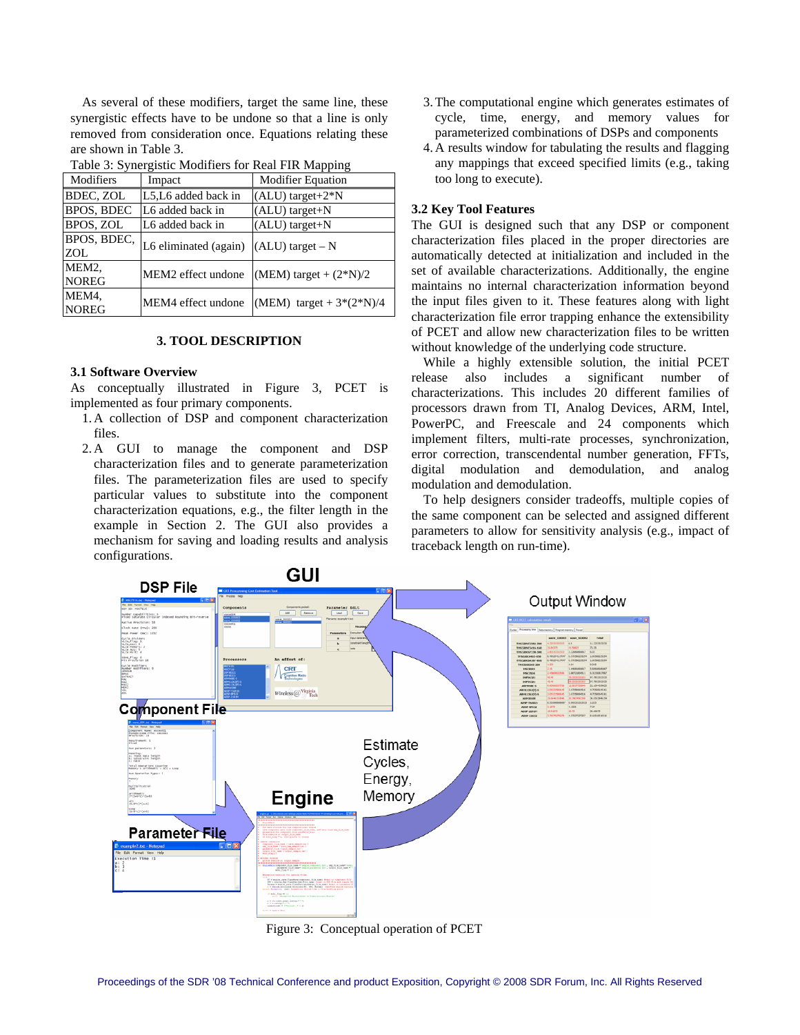As several of these modifiers, target the same line, these synergistic effects have to be undone so that a line is only removed from consideration once. Equations relating these are shown in [Table 3](#page-3-0).

<span id="page-3-0"></span>

| raone 5. Bynergistre modifiers for frear Fift mapping |                       |                            |  |  |  |
|-------------------------------------------------------|-----------------------|----------------------------|--|--|--|
| Modifiers                                             | Impact                | <b>Modifier Equation</b>   |  |  |  |
| BDEC, ZOL                                             | L5, L6 added back in  | (ALU) target+2*N           |  |  |  |
| <b>BPOS, BDEC</b>                                     | L6 added back in      | (ALU) target+N             |  |  |  |
| BPOS, ZOL                                             | L6 added back in      | (ALU) target+N             |  |  |  |
| BPOS, BDEC,                                           | L6 eliminated (again) | $(ALU)$ target – N         |  |  |  |
| ZOL                                                   |                       |                            |  |  |  |
| MEM <sub>2</sub> .                                    | MEM2 effect undone    | (MEM) target + $(2*N)/2$   |  |  |  |
| <b>NOREG</b>                                          |                       |                            |  |  |  |
| MEM4,                                                 | MEM4 effect undone    | (MEM) target + $3*(2*N)/4$ |  |  |  |
| <b>NOREG</b>                                          |                       |                            |  |  |  |

Table 3: Synergistic Modifiers for Real FIR Mapping

#### **3. TOOL DESCRIPTION**

#### **3.1 Software Overview**

As conceptually illustrated in Figure 3, PCET is implemented as four primary components.

- 1. A collection of DSP and component characterization files.
- 2. A GUI to manage the component and DSP characterization files and to generate parameterization files. The parameterization files are used to specify particular values to substitute into the component characterization equations, e.g., the filter length in the example in Section 2. The GUI also provides a mechanism for saving and loading results and analysis configurations.
- 3.The computational engine which generates estimates of cycle, time, energy, and memory values for parameterized combinations of DSPs and components
- 4. A results window for tabulating the results and flagging any mappings that exceed specified limits (e.g., taking too long to execute).

## **3.2 Key Tool Features**

The GUI is designed such that any DSP or component characterization files placed in the proper directories are automatically detected at initialization and included in the set of available characterizations. Additionally, the engine maintains no internal characterization information beyond the input files given to it. These features along with light characterization file error trapping enhance the extensibility of PCET and allow new characterization files to be written without knowledge of the underlying code structure.

While a highly extensible solution, the initial PCET release also includes a significant number of characterizations. This includes 20 different families of processors drawn from TI, Analog Devices, ARM, Intel, PowerPC, and Freescale and 24 components which implement filters, multi-rate processes, synchronization, error correction, transcendental number generation, FFTs, digital modulation and demodulation, and analog modulation and demodulation.

To help designers consider tradeoffs, multiple copies of the same component can be selected and assigned different parameters to allow for sensitivity analysis (e.g., impact of traceback length on run-time).



Figure 3: Conceptual operation of PCET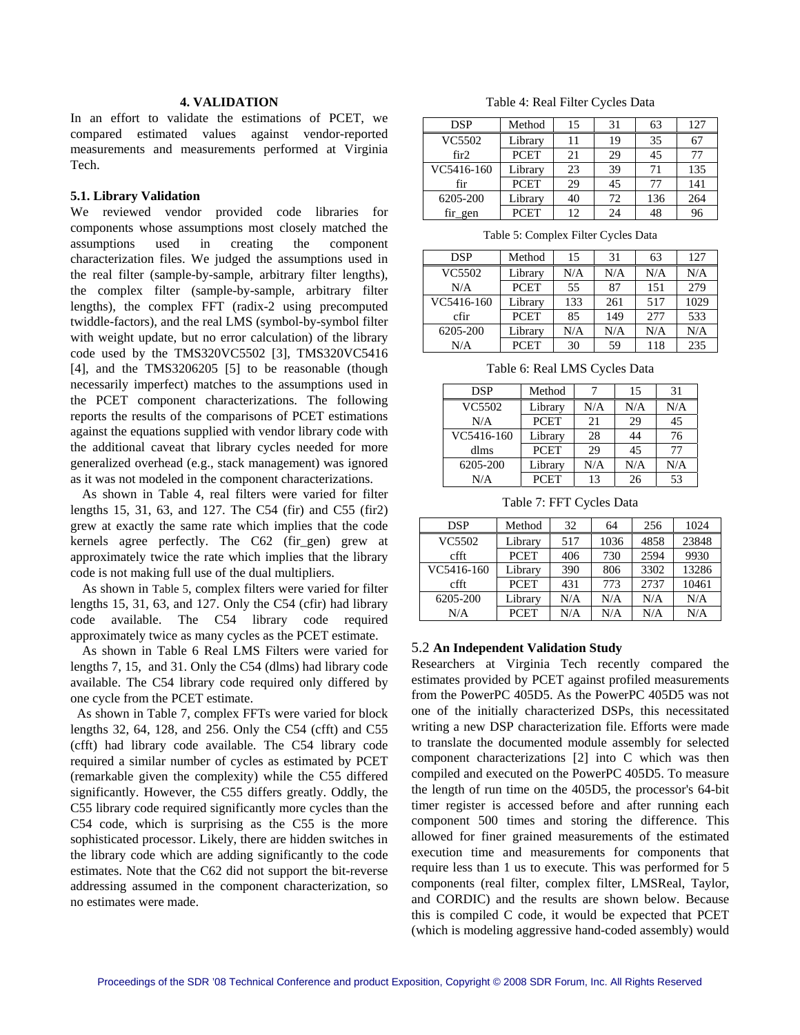## **4. VALIDATION**

<span id="page-4-0"></span>In an effort to validate the estimations of PCET, we compared estimated values against vendor-reported measurements and measurements performed at Virginia Tech.

#### **5.1. Library Validation**

<span id="page-4-1"></span>We reviewed vendor provided code libraries for components whose assumptions most closely matched the assumptions used in creating the component characterization files. We judged the assumptions used in the real filter (sample-by-sample, arbitrary filter lengths), the complex filter (sample-by-sample, arbitrary filter lengths), the complex FFT (radix-2 using precomputed twiddle-factors), and the real LMS (symbol-by-symbol filter with weight update, but no error calculation) of the library code used by the TMS320VC5502 [3], TMS320VC5416 [4], and the TMS3206205 [5] to be reasonable (though necessarily imperfect) matches to the assumptions used in the PCET component characterizations. The following reports the results of the comparisons of PCET estimations against the equations supplied with vendor library code with the additional caveat that library cycles needed for more generalized overhead (e.g., stack management) was ignored as it was not modeled in the component characterizations.

<span id="page-4-3"></span><span id="page-4-2"></span> As shown in [Table 4,](#page-4-0) real filters were varied for filter lengths 15, 31, 63, and 127. The C54 (fir) and C55 (fir2) grew at exactly the same rate which implies that the code kernels agree perfectly. The C62 (fir gen) grew at approximately twice the rate which implies that the library code is not making full use of the dual multipliers.

 As shown in [Table 5](#page-4-1), complex filters were varied for filter lengths 15, 31, 63, and 127. Only the C54 (cfir) had library code available. The C54 library code required approximately twice as many cycles as the PCET estimate.

 As shown in [Table 6](#page-4-2) Real LMS Filters were varied for lengths 7, 15, and 31. Only the C54 (dlms) had library code available. The C54 library code required only differed by one cycle from the PCET estimate.

 As shown in [Table 7](#page-4-3), complex FFTs were varied for block lengths 32, 64, 128, and 256. Only the C54 (cfft) and C55 (cfft) had library code available. The C54 library code required a similar number of cycles as estimated by PCET (remarkable given the complexity) while the C55 differed significantly. However, the C55 differs greatly. Oddly, the C55 library code required significantly more cycles than the C54 code, which is surprising as the C55 is the more sophisticated processor. Likely, there are hidden switches in the library code which are adding significantly to the code estimates. Note that the C62 did not support the bit-reverse addressing assumed in the component characterization, so no estimates were made.

Table 4: Real Filter Cycles Data

| <b>DSP</b> | Method      | 15 | 31 | 63  | 127 |
|------------|-------------|----|----|-----|-----|
| VC5502     | Library     | 11 | 19 | 35  |     |
| fir2       | <b>PCET</b> | 21 | 29 | 45  |     |
| VC5416-160 | Library     | 23 | 39 | 71  | 135 |
| fir        | <b>PCET</b> | 29 | 45 | 77  | 141 |
| 6205-200   | Library     | 40 | 72 | 136 | 264 |
| fir gen    | <b>PCET</b> | 12 | 24 | 48  | 96  |

Table 5: Complex Filter Cycles Data

| <b>DSP</b> | Method      | 15  | 31  | 63  | 127  |
|------------|-------------|-----|-----|-----|------|
| VC5502     | Library     | N/A | N/A | N/A | N/A  |
| N/A        | <b>PCET</b> | 55  | 87  | 151 | 279  |
| VC5416-160 | Library     | 133 | 261 | 517 | 1029 |
| cfir       | <b>PCET</b> | 85  | 149 | 277 | 533  |
| 6205-200   | Library     | N/A | N/A | N/A | N/A  |
| N/A        | <b>PCET</b> | 30  | 59  | 118 | 235  |

Table 6: Real LMS Cycles Data

| DSP        | Method      |     | 15  | 31  |
|------------|-------------|-----|-----|-----|
| VC5502     | Library     | N/A | N/A | N/A |
| N/A        | <b>PCET</b> | 21  | 29  | 45  |
| VC5416-160 | Library     | 28  | 44  | 76  |
| dlms       | <b>PCET</b> | 29  | 45  | 77  |
| 6205-200   | Library     | N/A | N/A | N/A |
| N/A        | <b>PCET</b> | 13  | 26  | 53  |

Table 7: FFT Cycles Data

| <b>DSP</b> | Method      | 32  | 64   | 256  | 1024  |
|------------|-------------|-----|------|------|-------|
| VC5502     | Library     | 517 | 1036 | 4858 | 23848 |
| cfft       | <b>PCET</b> | 406 | 730  | 2594 | 9930  |
| VC5416-160 | Library     | 390 | 806  | 3302 | 13286 |
| cfft       | <b>PCET</b> | 431 | 773  | 2737 | 10461 |
| 6205-200   | Library     | N/A | N/A  | N/A  | N/A   |
| N/A        | <b>PCET</b> | N/A | N/A  | N/A  | N/A   |

#### 5.2 **An Independent Validation Study**

Researchers at Virginia Tech recently compared the estimates provided by PCET against profiled measurements from the PowerPC 405D5. As the PowerPC 405D5 was not one of the initially characterized DSPs, this necessitated writing a new DSP characterization file. Efforts were made to translate the documented module assembly for selected component characterizations [2] into C which was then compiled and executed on the PowerPC 405D5. To measure the length of run time on the 405D5, the processor's 64-bit timer register is accessed before and after running each component 500 times and storing the difference. This allowed for finer grained measurements of the estimated execution time and measurements for components that require less than 1 us to execute. This was performed for 5 components (real filter, complex filter, LMSReal, Taylor, and CORDIC) and the results are shown below. Because this is compiled C code, it would be expected that PCET (which is modeling aggressive hand-coded assembly) would